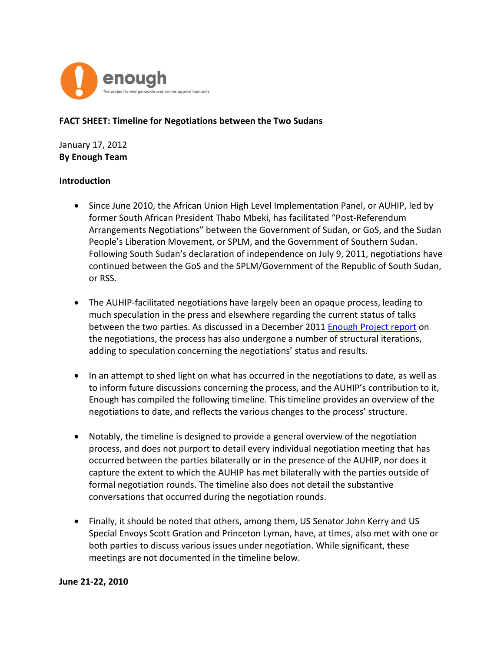

#### **FACT SHEET: Timeline for Negotiations between the Two Sudans**

January 17, 2012 **By Enough Team**

#### **Introduction**

- Since June 2010, the African Union High Level Implementation Panel, or AUHIP, led by former South African President Thabo Mbeki, has facilitated "Post-Referendum Arrangements Negotiations" between the Government of Sudan, or GoS, and the Sudan People's Liberation Movement, or SPLM, and the Government of Southern Sudan. Following South Sudan's declaration of independence on July 9, 2011, negotiations have continued between the GoS and the SPLM/Government of the Republic of South Sudan, or RSS.
- The AUHIP-facilitated negotiations have largely been an opaque process, leading to much speculation in the press and elsewhere regarding the current status of talks between the two parties. As discussed in a December 2011 [Enough Project report](http://enoughproject.org/publications/negotiations-between-two-sudans-where-they-have-been-where-they-are-going) on the negotiations, the process has also undergone a number of structural iterations, adding to speculation concerning the negotiations' status and results.
- In an attempt to shed light on what has occurred in the negotiations to date, as well as to inform future discussions concerning the process, and the AUHIP's contribution to it, Enough has compiled the following timeline. This timeline provides an overview of the negotiations to date, and reflects the various changes to the process' structure.
- Notably, the timeline is designed to provide a general overview of the negotiation process, and does not purport to detail every individual negotiation meeting that has occurred between the parties bilaterally or in the presence of the AUHIP, nor does it capture the extent to which the AUHIP has met bilaterally with the parties outside of formal negotiation rounds. The timeline also does not detail the substantive conversations that occurred during the negotiation rounds.
- Finally, it should be noted that others, among them, US Senator John Kerry and US Special Envoys Scott Gration and Princeton Lyman, have, at times, also met with one or both parties to discuss various issues under negotiation. While significant, these meetings are not documented in the timeline below.

#### **June 21-22, 2010**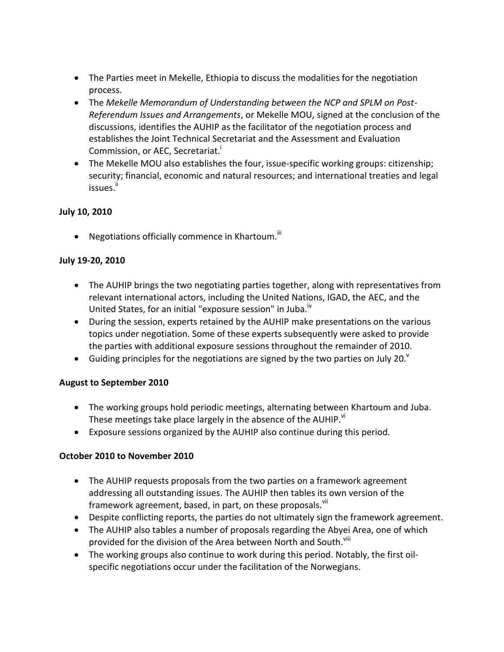- The Parties meet in Mekelle, Ethiopia to discuss the modalities for the negotiation process.
- The *Mekelle Memorandum of Understanding between the NCP and SPLM on Post-Referendum Issues and Arrangements*, or Mekelle MOU, signed at the conclusion of the discussions, identifies the AUHIP as the facilitator of the negotiation process and establishes the Joint Technical Secretariat and the Assessment and Evaluation Commission, or AEC, Secretariat.<sup>1</sup>
- The Mekelle MOU also establishes the four, issue-specific working groups: citizenship; security; financial, economic and natural resources; and international treaties and legal issues.<sup>ii</sup>

# **July 10, 2010**

 $\bullet$  Negotiations officially commence in Khartoum.<sup>iii</sup>

#### **July 19-20, 2010**

- The AUHIP brings the two negotiating parties together, along with representatives from relevant international actors, including the United Nations, IGAD, the AEC, and the United States, for an initial "exposure session" in Juba.<sup>iv</sup>
- During the session, experts retained by the AUHIP make presentations on the various topics under negotiation. Some of these experts subsequently were asked to provide the parties with additional exposure sessions throughout the remainder of 2010.
- Guiding principles for the negotiations are signed by the two parties on July 20. $^{\circ}$

# **August to September 2010**

- The working groups hold periodic meetings, alternating between Khartoum and Juba. These meetings take place largely in the absence of the AUHIP.<sup>VI</sup>
- Exposure sessions organized by the AUHIP also continue during this period.

# **October 2010 to November 2010**

- The AUHIP requests proposals from the two parties on a framework agreement addressing all outstanding issues. The AUHIP then tables its own version of the framework agreement, based, in part, on these proposals.<sup>vii</sup>
- Despite conflicting reports, the parties do not ultimately sign the framework agreement.
- The AUHIP also tables a number of proposals regarding the Abyei Area, one of which provided for the division of the Area between North and South.<sup>Viii</sup>
- The working groups also continue to work during this period. Notably, the first oilspecific negotiations occur under the facilitation of the Norwegians.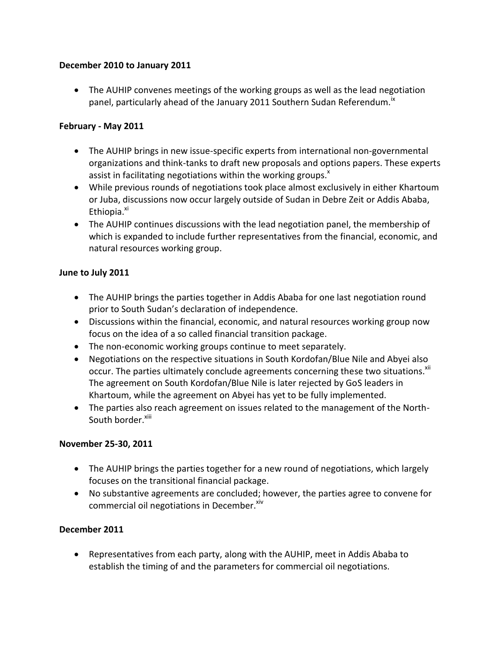#### **December 2010 to January 2011**

 The AUHIP convenes meetings of the working groups as well as the lead negotiation panel, particularly ahead of the January 2011 Southern Sudan Referendum.<sup>18</sup>

### **February - May 2011**

- The AUHIP brings in new issue-specific experts from international non-governmental organizations and think-tanks to draft new proposals and options papers. These experts assist in facilitating negotiations within the working groups. $^x$
- While previous rounds of negotiations took place almost exclusively in either Khartoum or Juba, discussions now occur largely outside of Sudan in Debre Zeit or Addis Ababa, Ethiopia.<sup>xi</sup>
- The AUHIP continues discussions with the lead negotiation panel, the membership of which is expanded to include further representatives from the financial, economic, and natural resources working group.

#### **June to July 2011**

- The AUHIP brings the parties together in Addis Ababa for one last negotiation round prior to South Sudan's declaration of independence.
- Discussions within the financial, economic, and natural resources working group now focus on the idea of a so called financial transition package.
- The non-economic working groups continue to meet separately.
- Negotiations on the respective situations in South Kordofan/Blue Nile and Abyei also occur. The parties ultimately conclude agreements concerning these two situations.<sup>xii</sup> The agreement on South Kordofan/Blue Nile is later rejected by GoS leaders in Khartoum, while the agreement on Abyei has yet to be fully implemented.
- The parties also reach agreement on issues related to the management of the North-South border.<sup>xiii</sup>

# **November 25-30, 2011**

- The AUHIP brings the parties together for a new round of negotiations, which largely focuses on the transitional financial package.
- No substantive agreements are concluded; however, the parties agree to convene for commercial oil negotiations in December.<sup>xiv</sup>

# **December 2011**

 Representatives from each party, along with the AUHIP, meet in Addis Ababa to establish the timing of and the parameters for commercial oil negotiations.